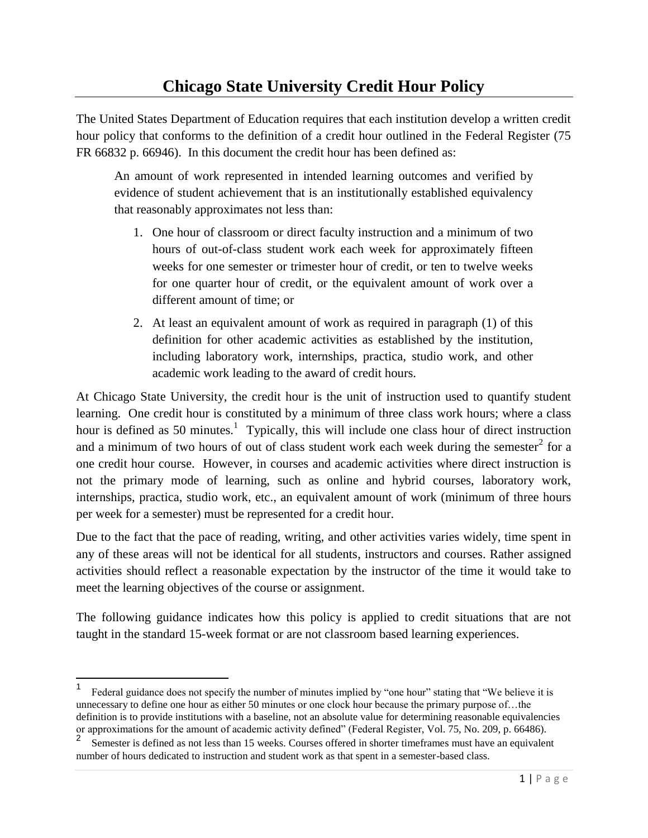## **Chicago State University Credit Hour Policy**

The United States Department of Education requires that each institution develop a written credit hour policy that conforms to the definition of a credit hour outlined in the Federal Register (75 FR 66832 p. 66946). In this document the credit hour has been defined as:

An amount of work represented in intended learning outcomes and verified by evidence of student achievement that is an institutionally established equivalency that reasonably approximates not less than:

- 1. One hour of classroom or direct faculty instruction and a minimum of two hours of out-of-class student work each week for approximately fifteen weeks for one semester or trimester hour of credit, or ten to twelve weeks for one quarter hour of credit, or the equivalent amount of work over a different amount of time; or
- 2. At least an equivalent amount of work as required in paragraph (1) of this definition for other academic activities as established by the institution, including laboratory work, internships, practica, studio work, and other academic work leading to the award of credit hours.

At Chicago State University, the credit hour is the unit of instruction used to quantify student learning. One credit hour is constituted by a minimum of three class work hours; where a class hour is defined as 50 minutes.<sup>1</sup> Typically, this will include one class hour of direct instruction and a minimum of two hours of out of class student work each week during the semester<sup>2</sup> for a one credit hour course. However, in courses and academic activities where direct instruction is not the primary mode of learning, such as online and hybrid courses, laboratory work, internships, practica, studio work, etc., an equivalent amount of work (minimum of three hours per week for a semester) must be represented for a credit hour.

Due to the fact that the pace of reading, writing, and other activities varies widely, time spent in any of these areas will not be identical for all students, instructors and courses. Rather assigned activities should reflect a reasonable expectation by the instructor of the time it would take to meet the learning objectives of the course or assignment.

The following guidance indicates how this policy is applied to credit situations that are not taught in the standard 15-week format or are not classroom based learning experiences.

 $\overline{a}$ 

<sup>1</sup> Federal guidance does not specify the number of minutes implied by "one hour" stating that "We believe it is unnecessary to define one hour as either 50 minutes or one clock hour because the primary purpose of...the definition is to provide institutions with a baseline, not an absolute value for determining reasonable equivalencies or approximations for the amount of academic activity defined" (Federal Register, Vol. 75, No. 209, p. 66486).

<sup>2</sup> Semester is defined as not less than 15 weeks. Courses offered in shorter timeframes must have an equivalent number of hours dedicated to instruction and student work as that spent in a semester-based class.